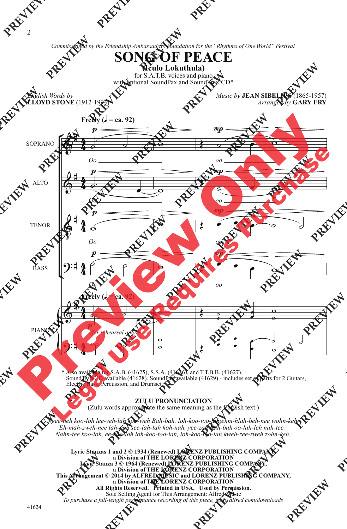*Commissioned by the Friendship Ambassadors Foundation for the "Rhythms of One World" Festival*

## **SONG OF PEACE**

**(Iculo Lokuthula)** for S.A.T.B. voices and piano with optional SoundPax and SoundTrax CD\*

*English Words by* **LLOYD STONE** (1912-1993) *Music by* **JEAN SIBELIUS** (1865-1957) *Arranged by* **GARY FRY**



*To purchase a full-length performance recording of this piece, go to alfred.com/downloads*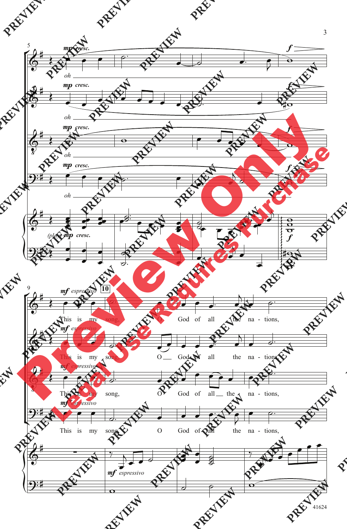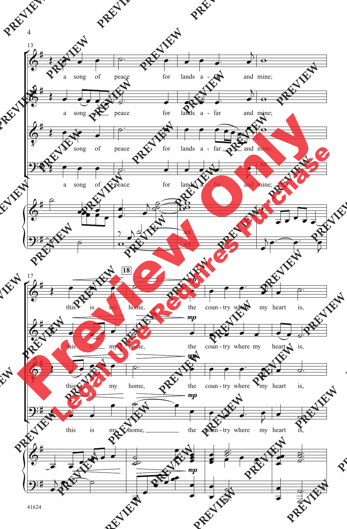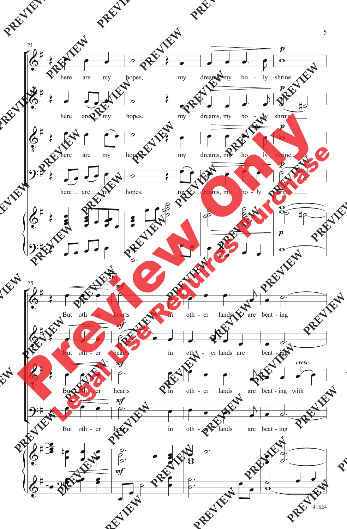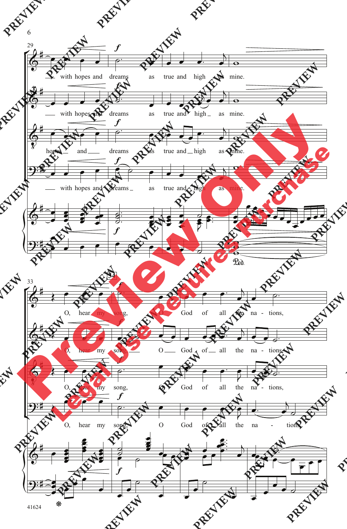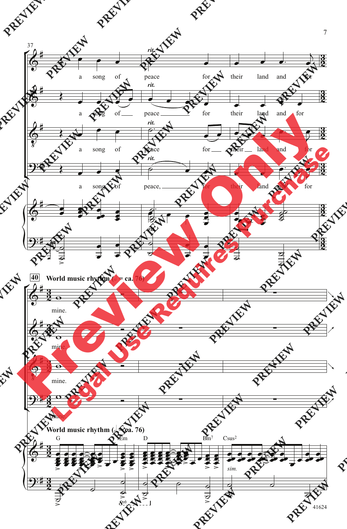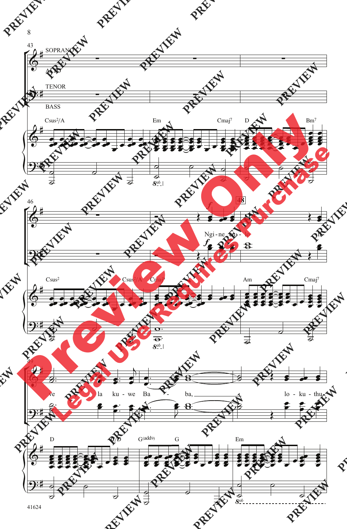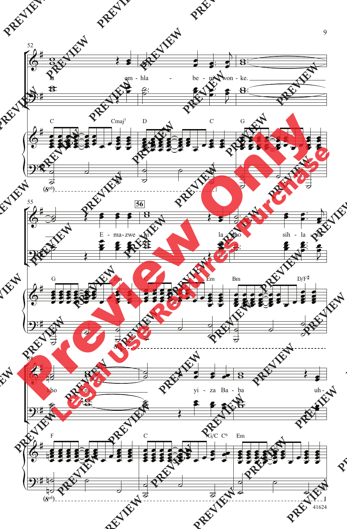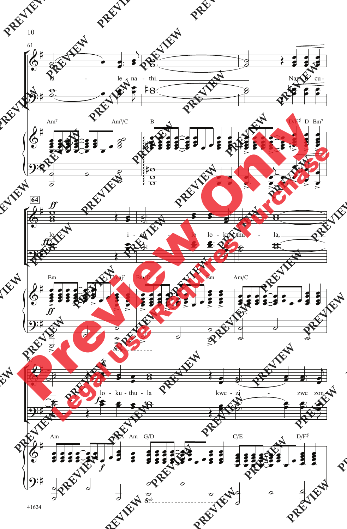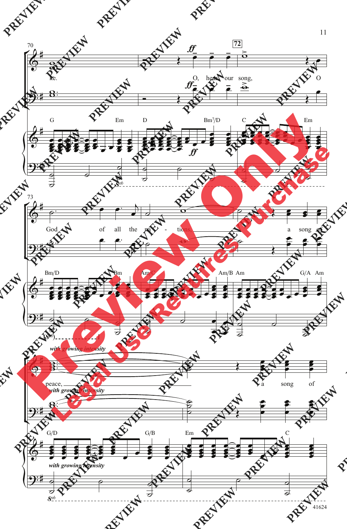